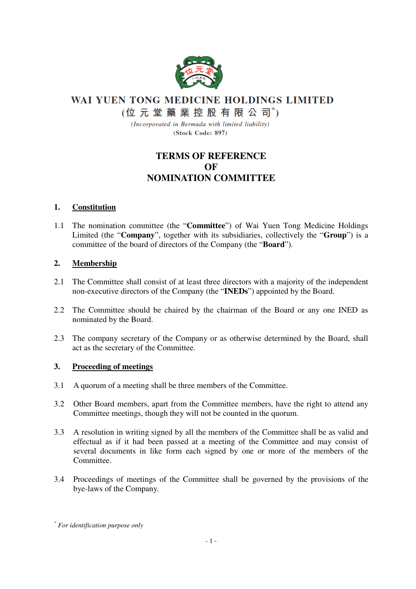

WAI YUEN TONG MEDICINE HOLDINGS LIMITED

(位元堂藥業控股有限公司\*)

(Incorporated in Bermuda with limited liability) (Stock Code: 897)

# **TERMS OF REFERENCE OF NOMINATION COMMITTEE**

## **1. Constitution**

1.1 The nomination committee (the "**Committee**") of Wai Yuen Tong Medicine Holdings Limited (the "**Company**", together with its subsidiaries, collectively the "**Group**") is a committee of the board of directors of the Company (the "**Board**").

## **2. Membership**

- 2.1 The Committee shall consist of at least three directors with a majority of the independent non-executive directors of the Company (the "**INEDs**") appointed by the Board.
- 2.2 The Committee should be chaired by the chairman of the Board or any one INED as nominated by the Board.
- 2.3 The company secretary of the Company or as otherwise determined by the Board, shall act as the secretary of the Committee.

## **3. Proceeding of meetings**

- 3.1 A quorum of a meeting shall be three members of the Committee.
- 3.2 Other Board members, apart from the Committee members, have the right to attend any Committee meetings, though they will not be counted in the quorum.
- 3.3 A resolution in writing signed by all the members of the Committee shall be as valid and effectual as if it had been passed at a meeting of the Committee and may consist of several documents in like form each signed by one or more of the members of the Committee.
- 3.4 Proceedings of meetings of the Committee shall be governed by the provisions of the bye-laws of the Company.

*<sup>\*</sup> For identification purpose only*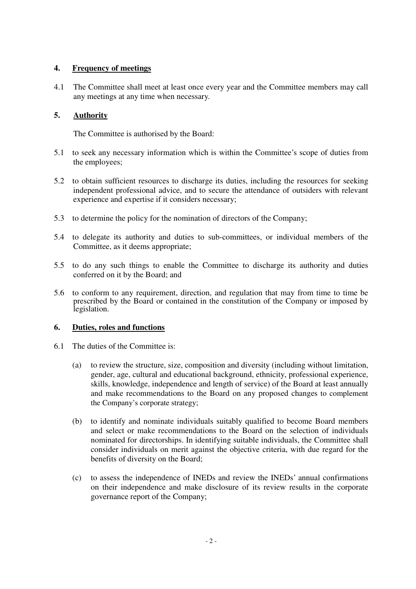### **4. Frequency of meetings**

4.1 The Committee shall meet at least once every year and the Committee members may call any meetings at any time when necessary.

### **5. Authority**

The Committee is authorised by the Board:

- 5.1 to seek any necessary information which is within the Committee's scope of duties from the employees;
- 5.2 to obtain sufficient resources to discharge its duties, including the resources for seeking independent professional advice, and to secure the attendance of outsiders with relevant experience and expertise if it considers necessary;
- 5.3 to determine the policy for the nomination of directors of the Company;
- 5.4 to delegate its authority and duties to sub-committees, or individual members of the Committee, as it deems appropriate;
- 5.5 to do any such things to enable the Committee to discharge its authority and duties conferred on it by the Board; and
- 5.6 to conform to any requirement, direction, and regulation that may from time to time be prescribed by the Board or contained in the constitution of the Company or imposed by legislation.

#### **6. Duties, roles and functions**

- 6.1 The duties of the Committee is:
	- (a) to review the structure, size, composition and diversity (including without limitation, gender, age, cultural and educational background, ethnicity, professional experience, skills, knowledge, independence and length of service) of the Board at least annually and make recommendations to the Board on any proposed changes to complement the Company's corporate strategy;
	- (b) to identify and nominate individuals suitably qualified to become Board members and select or make recommendations to the Board on the selection of individuals nominated for directorships. In identifying suitable individuals, the Committee shall consider individuals on merit against the objective criteria, with due regard for the benefits of diversity on the Board;
	- (c) to assess the independence of INEDs and review the INEDs' annual confirmations on their independence and make disclosure of its review results in the corporate governance report of the Company;